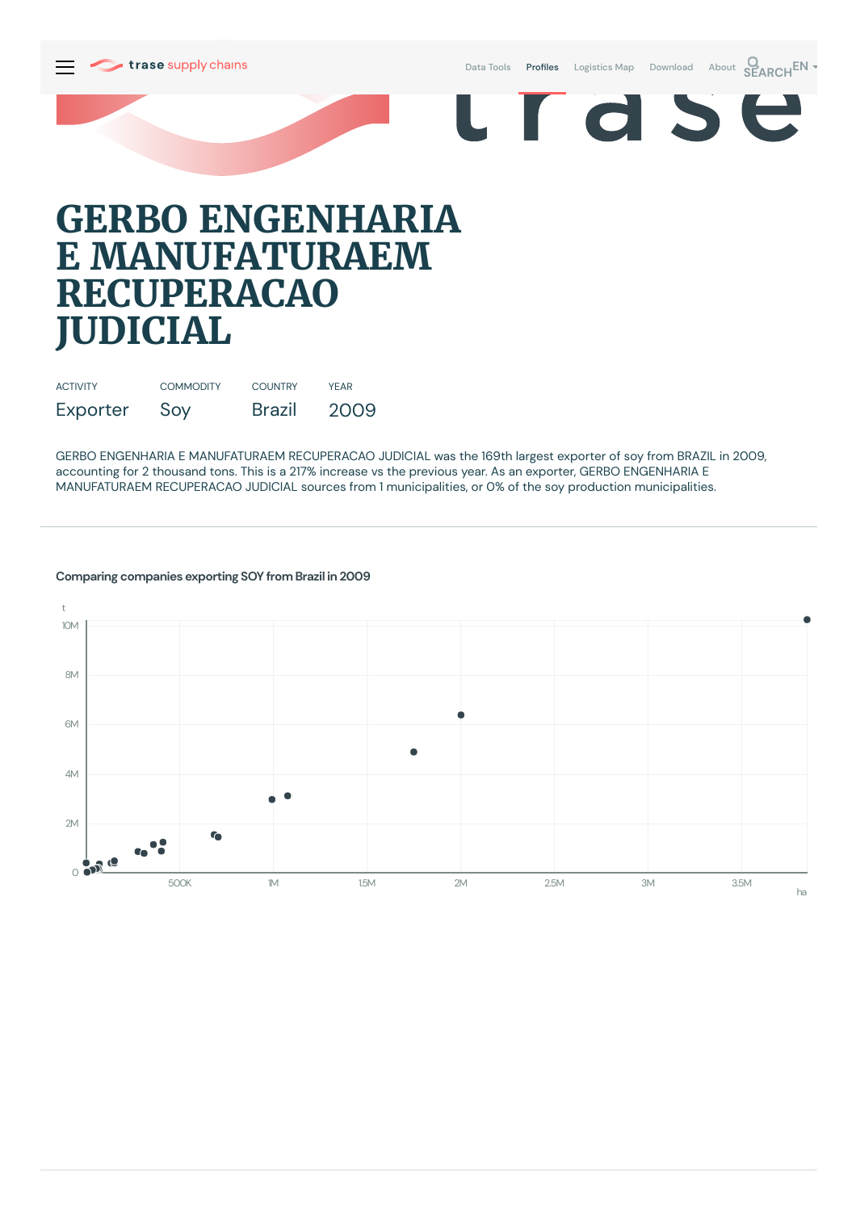

Data [Tools](https://supplychains.trase.earth/explore) Profiles [Logistics](https://supplychains.trase.earth/logistics-map) Map [Download](https://supplychains.trase.earth/data) [About](https://supplychains.trase.earth/about) **SEARCH<sup>EN</sup>** 

r d S  $\blacksquare$ 

# **GERBO ENGENHARIA E MANUFATURAEM RECUPERACAO JUDICIAL**

| <b>ACTIVITY</b> | <b>COMMODITY</b> | <b>COUNTRY</b> | <b>YFAR</b> |
|-----------------|------------------|----------------|-------------|
| Exporter        | Soy              | Brazil         | 2009        |

GERBO ENGENHARIA E MANUFATURAEM RECUPERACAO JUDICIAL was the 169th largest exporter of soy from BRAZIL in 2009, accounting for 2 thousand tons. This is a 217% increase vs the previous year. As an exporter, GERBO ENGENHARIA E MANUFATURAEM RECUPERACAO JUDICIAL sources from 1 municipalities, or 0% of the soy production municipalities.

## **Comparing companies exporting SOY from Brazil in 2009**